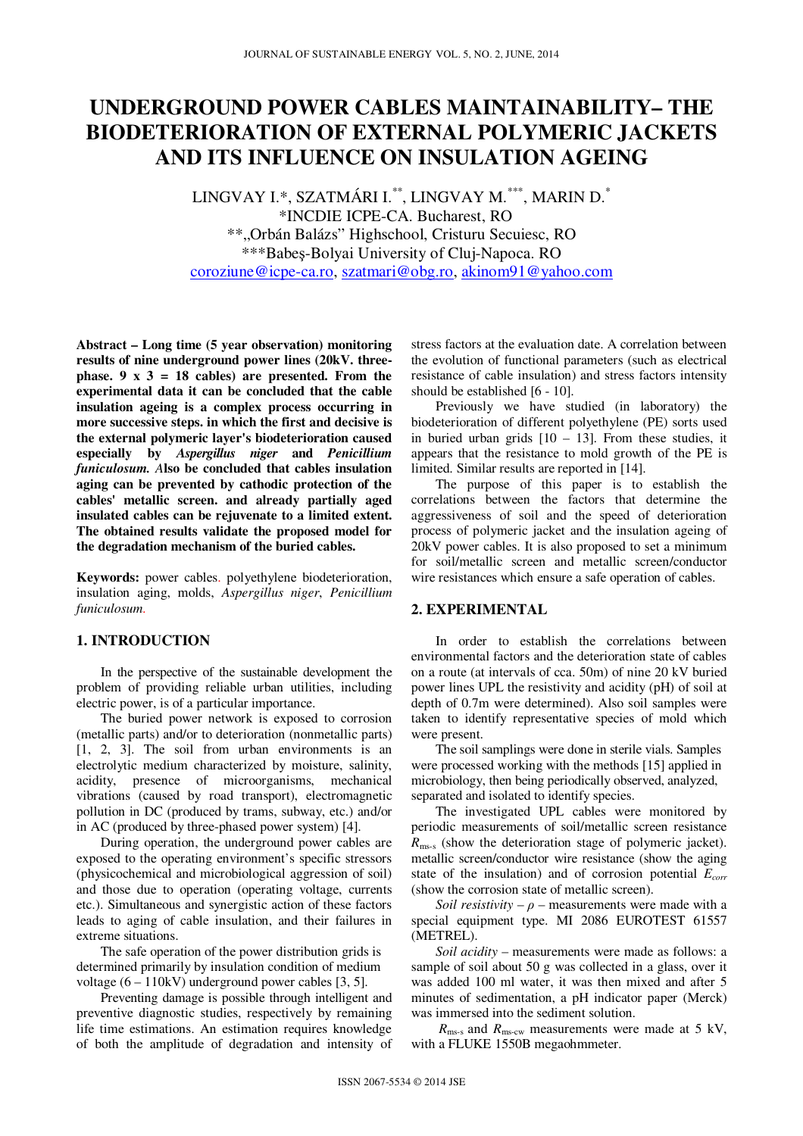# **UNDERGROUND POWER CABLES MAINTAINABILITY– THE BIODETERIORATION OF EXTERNAL POLYMERIC JACKETS AND ITS INFLUENCE ON INSULATION AGEING**

LINGVAY I.\*, SZATMÁRI I.\*\*, LINGVAY M.\*\*\*, MARIN D.\* \*INCDIE ICPE-CA. Bucharest, RO \*\*"Orbán Balázs" Highschool, Cristuru Secuiesc, RO \*\*\*Babeş-Bolyai University of Cluj-Napoca. RO coroziune@icpe-ca.ro, szatmari@obg.ro, akinom91@yahoo.com

**Abstract – Long time (5 year observation) monitoring results of nine underground power lines (20kV. three**phase.  $9 \times 3 = 18$  cables) are presented. From the **experimental data it can be concluded that the cable insulation ageing is a complex process occurring in more successive steps. in which the first and decisive is the external polymeric layer's biodeterioration caused especially by** *Aspergillus niger* **and** *Penicillium funiculosum. A***lso be concluded that cables insulation aging can be prevented by cathodic protection of the cables' metallic screen. and already partially aged insulated cables can be rejuvenate to a limited extent. The obtained results validate the proposed model for the degradation mechanism of the buried cables.** 

**Keywords:** power cables. polyethylene biodeterioration, insulation aging, molds, *Aspergillus niger*, *Penicillium funiculosum*.

### **1. INTRODUCTION**

In the perspective of the sustainable development the problem of providing reliable urban utilities, including electric power, is of a particular importance.

The buried power network is exposed to corrosion (metallic parts) and/or to deterioration (nonmetallic parts) [1, 2, 3]. The soil from urban environments is an electrolytic medium characterized by moisture, salinity, acidity, presence of microorganisms, mechanical vibrations (caused by road transport), electromagnetic pollution in DC (produced by trams, subway, etc.) and/or in AC (produced by three-phased power system) [4].

During operation, the underground power cables are exposed to the operating environment's specific stressors (physicochemical and microbiological aggression of soil) and those due to operation (operating voltage, currents etc.). Simultaneous and synergistic action of these factors leads to aging of cable insulation, and their failures in extreme situations.

The safe operation of the power distribution grids is determined primarily by insulation condition of medium voltage  $(6 - 110$ kV) underground power cables [3, 5].

Preventing damage is possible through intelligent and preventive diagnostic studies, respectively by remaining life time estimations. An estimation requires knowledge of both the amplitude of degradation and intensity of

stress factors at the evaluation date. A correlation between the evolution of functional parameters (such as electrical resistance of cable insulation) and stress factors intensity should be established [6 - 10].

Previously we have studied (in laboratory) the biodeterioration of different polyethylene (PE) sorts used in buried urban grids  $[10 - 13]$ . From these studies, it appears that the resistance to mold growth of the PE is limited. Similar results are reported in [14].

The purpose of this paper is to establish the correlations between the factors that determine the aggressiveness of soil and the speed of deterioration process of polymeric jacket and the insulation ageing of 20kV power cables. It is also proposed to set a minimum for soil/metallic screen and metallic screen/conductor wire resistances which ensure a safe operation of cables.

# **2. EXPERIMENTAL**

In order to establish the correlations between environmental factors and the deterioration state of cables on a route (at intervals of cca. 50m) of nine 20 kV buried power lines UPL the resistivity and acidity (pH) of soil at depth of 0.7m were determined). Also soil samples were taken to identify representative species of mold which were present.

The soil samplings were done in sterile vials. Samples were processed working with the methods [15] applied in microbiology, then being periodically observed, analyzed, separated and isolated to identify species.

The investigated UPL cables were monitored by periodic measurements of soil/metallic screen resistance *R*ms-s (show the deterioration stage of polymeric jacket). metallic screen/conductor wire resistance (show the aging state of the insulation) and of corrosion potential *Ecorr* (show the corrosion state of metallic screen).

*Soil resistivity* –  $\rho$  – measurements were made with a special equipment type. MI 2086 EUROTEST 61557 (METREL).

*Soil acidity* – measurements were made as follows: a sample of soil about 50 g was collected in a glass, over it was added 100 ml water, it was then mixed and after 5 minutes of sedimentation, a pH indicator paper (Merck) was immersed into the sediment solution.

 $R_{\rm ms-s}$  and  $R_{\rm ms-cw}$  measurements were made at 5 kV, with a FLUKE 1550B megaohmmeter.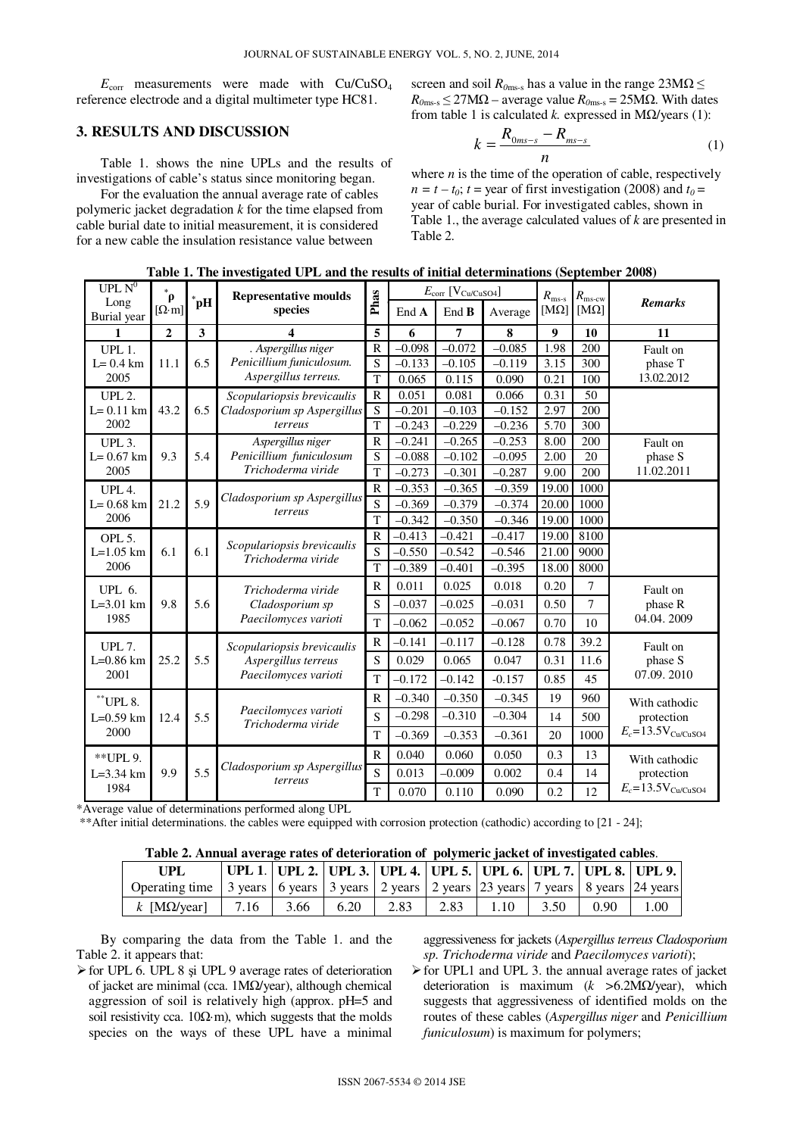$E_{\text{corr}}$  measurements were made with  $Cu/CuSO<sub>4</sub>$ reference electrode and a digital multimeter type HC81.

# **3. RESULTS AND DISCUSSION**

Table 1. shows the nine UPLs and the results of investigations of cable's status since monitoring began.

For the evaluation the annual average rate of cables polymeric jacket degradation *k* for the time elapsed from cable burial date to initial measurement, it is considered for a new cable the insulation resistance value between

screen and soil  $R_{0\text{ms-s}}$  has a value in the range  $23\text{M}\Omega \leq$  $R_{0\text{ms-s}} \leq 27\text{M}\Omega$  – average value  $R_{0\text{ms-s}} = 25\text{M}\Omega$ . With dates from table 1 is calculated *k.* expressed in MΩ/years (1):

$$
k = \frac{R_{0ms-s} - R_{ms-s}}{n}
$$
 (1)

where  $n$  is the time of the operation of cable, respectively  $n = t - t_0$ ;  $t =$  year of first investigation (2008) and  $t_0 =$ year of cable burial. For investigated cables, shown in Table 1., the average calculated values of *k* are presented in Table 2.

| UPL $\overline{N^0}$                      | $\ast$<br>$\rho$   |        | <b>Representative moulds</b>                                              |                     | $E_{\text{corr}}$ [V <sub>Cu/CuSO4</sub> ] |          |          | $R_{\rm ms-s}$ | $R_{\rm ms\text{-}cw}$ |                                                             |  |
|-------------------------------------------|--------------------|--------|---------------------------------------------------------------------------|---------------------|--------------------------------------------|----------|----------|----------------|------------------------|-------------------------------------------------------------|--|
| Long<br>Burial year                       | $[\Omega \cdot m]$ | $^*pH$ | species                                                                   | Phas                | End A                                      | End B    | Average  | [ $M\Omega$ ]  | $[M\Omega]$            | <b>Remarks</b>                                              |  |
| 1                                         | $\mathbf{2}$       | 3      | 4                                                                         | 5                   | 6                                          | 7        | 8        | 9              | 10                     | 11                                                          |  |
| UPL 1.                                    |                    |        | . Aspergillus niger                                                       | R                   | $-0.098$                                   | $-0.072$ | $-0.085$ | 1.98           | 200                    | Fault on                                                    |  |
| $L = 0.4$ km                              | 11.1               | 6.5    | Penicillium funiculosum.                                                  | S                   | $-0.133$                                   | $-0.105$ | $-0.119$ | 3.15           | 300                    | phase T                                                     |  |
| 2005                                      |                    |        | Aspergillus terreus.                                                      | T                   | 0.065                                      | 0.115    | 0.090    | 0.21           | 100                    | 13.02.2012                                                  |  |
| <b>UPL 2.</b>                             |                    |        | Scopulariopsis brevicaulis                                                | $\mathbb{R}$        | 0.051                                      | 0.081    | 0.066    | 0.31           | 50                     |                                                             |  |
| $L = 0.11$ km                             | 43.2               | 6.5    | Cladosporium sp Aspergillus                                               | S<br>$\overline{T}$ | $-0.201$                                   | $-0.103$ | $-0.152$ | 2.97           | 200                    |                                                             |  |
| 2002                                      |                    |        | terreus                                                                   |                     | $-0.243$                                   | $-0.229$ | $-0.236$ | 5.70           | 300                    |                                                             |  |
| UPL 3.                                    |                    |        | Aspergillus niger                                                         | $\mathbb{R}$        | $-0.241$                                   | $-0.265$ | $-0.253$ | 8.00           | 200                    | Fault on                                                    |  |
| $L = 0.67$ km<br>2005                     | 9.3                | 5.4    | Penicillium funiculosum<br>Trichoderma viride                             | S                   | $-0.088$                                   | $-0.102$ | $-0.095$ | 2.00           | 20                     | phase S<br>11.02.2011                                       |  |
|                                           |                    |        |                                                                           | T                   | $-0.273$                                   | $-0.301$ | $-0.287$ | 9.00           | 200                    |                                                             |  |
| UPL 4.                                    |                    | 5.9    | Cladosporium sp Aspergillus<br>terreus                                    | $\mathbb{R}$        | $-0.353$                                   | $-0.365$ | $-0.359$ | 19.00          | 1000                   |                                                             |  |
| $L = 0.68$ km<br>2006                     | 21.2               |        |                                                                           | S                   | $-0.369$                                   | $-0.379$ | $-0.374$ | 20.00          | 1000                   |                                                             |  |
|                                           |                    |        |                                                                           | T                   | $-0.342$                                   | $-0.350$ | $-0.346$ | 19.00          | 1000                   |                                                             |  |
| OPL <sub>5</sub> .                        | 6.1                | 6.1    | Scopulariopsis brevicaulis<br>Trichoderma viride                          | $\mathbb{R}$        | $-0.413$                                   | $-0.421$ | $-0.417$ | 19.00          | 8100                   |                                                             |  |
| $L = 1.05$ km<br>2006                     |                    |        |                                                                           | S                   | $-0.550$                                   | $-0.542$ | $-0.546$ | 21.00          | 9000                   |                                                             |  |
|                                           |                    |        |                                                                           | T                   | $-0.389$                                   | $-0.401$ | $-0.395$ | 18.00          | 8000                   |                                                             |  |
| <b>UPL 6.</b>                             | 9.8                | 5.6    | Trichoderma viride<br>Cladosporium sp                                     | $\mathbb{R}$        | 0.011                                      | 0.025    | 0.018    | 0.20           | $\overline{7}$         | Fault on<br>phase R                                         |  |
| $L=3.01$ km                               |                    |        |                                                                           | S                   | $-0.037$                                   | $-0.025$ | $-0.031$ | 0.50           | $\overline{7}$         |                                                             |  |
| 1985                                      |                    |        | Paecilomyces varioti                                                      | T                   | $-0.062$                                   | $-0.052$ | $-0.067$ | 0.70           | 10                     | 04.04.2009                                                  |  |
| <b>UPL 7.</b>                             |                    | 5.5    | Scopulariopsis brevicaulis<br>Aspergillus terreus<br>Paecilomyces varioti | $\mathbb{R}$        | $-0.141$                                   | $-0.117$ | $-0.128$ | 0.78           | 39.2                   | Fault on                                                    |  |
| $L=0.86$ km                               | 25.2               |        |                                                                           | S                   | 0.029                                      | 0.065    | 0.047    | 0.31           | 11.6                   | phase S                                                     |  |
| 2001                                      |                    |        |                                                                           | T                   | $-0.172$                                   | $-0.142$ | $-0.157$ | 0.85           | 45                     | 07.09.2010                                                  |  |
| $^\ast\!\!$ UPL 8.<br>$L=0.59$ km<br>2000 | 12.4               | 5.5    | Paecilomyces varioti<br>Trichoderma viride                                | $\mathbb{R}$        | $-0.340$                                   | $-0.350$ | $-0.345$ | 19             | 960                    | With cathodic<br>protection<br>$E_c = 13.5$ V $_{Cu/CuSO4}$ |  |
|                                           |                    |        |                                                                           | $\mathbf S$         | $-0.298$                                   | $-0.310$ | $-0.304$ | 14             | 500                    |                                                             |  |
|                                           |                    |        |                                                                           | T                   | $-0.369$                                   | $-0.353$ | $-0.361$ | 20             | 1000                   |                                                             |  |
| ** UPL 9.                                 |                    | 5.5    | Cladosporium sp Aspergillus<br>terreus                                    | $\mathbb{R}$        | 0.040                                      | 0.060    | 0.050    | 0.3            | 13                     | With cathodic                                               |  |
| $L = 3.34$ km                             | 9.9                |        |                                                                           | ${\bf S}$           | 0.013                                      | $-0.009$ | 0.002    | 0.4            | 14                     | protection                                                  |  |
| 1984                                      |                    |        |                                                                           | T                   | 0.070                                      | 0.110    | 0.090    | 0.2            | 12                     | $E_c = 13.5$ V <sub>Cu</sub> /CuSO <sub>4</sub>             |  |

**Table 1. The investigated UPL and the results of initial determinations (September 2008)** 

\*Average value of determinations performed along UPL

\*\*After initial determinations. the cables were equipped with corrosion protection (cathodic) according to [21 - 24];

| Table 2. Annual average rates of deterioration of polymeric jacket of investigated cables. |  |  |
|--------------------------------------------------------------------------------------------|--|--|
|--------------------------------------------------------------------------------------------|--|--|

| UPL                                                                                                        |      |      |      |      |      |      |      |      | 'UPL 1.   UPL 2.   UPL 3.   UPL 4.   UPL 5.   UPL 6.   UPL 7.   UPL 8.   UPL 9. |
|------------------------------------------------------------------------------------------------------------|------|------|------|------|------|------|------|------|---------------------------------------------------------------------------------|
| Operating time   3 years   6 years   3 years   2 years   2 years   23 years   7 years   8 years   24 years |      |      |      |      |      |      |      |      |                                                                                 |
| k [M $\Omega$ /year]                                                                                       | 7.16 | 3.66 | 6.20 | 2.83 | 2.83 | 1.10 | 3.50 | 0.90 | 1.00                                                                            |

By comparing the data from the Table 1. and the Table 2. it appears that:

 $\triangleright$  for UPL 6. UPL 8 și UPL 9 average rates of deterioration of jacket are minimal (cca. 1MΩ/year), although chemical aggression of soil is relatively high (approx. pH=5 and soil resistivity cca.  $10\Omega \cdot m$ ), which suggests that the molds species on the ways of these UPL have a minimal aggressiveness for jackets (*Aspergillus terreus Cladosporium sp. Trichoderma viride* and *Paecilomyces varioti*);

 $\triangleright$  for UPL1 and UPL 3. the annual average rates of jacket deterioration is maximum (*k >*6.2MΩ/year), which suggests that aggressiveness of identified molds on the routes of these cables (*Aspergillus niger* and *Penicillium funiculosum*) is maximum for polymers;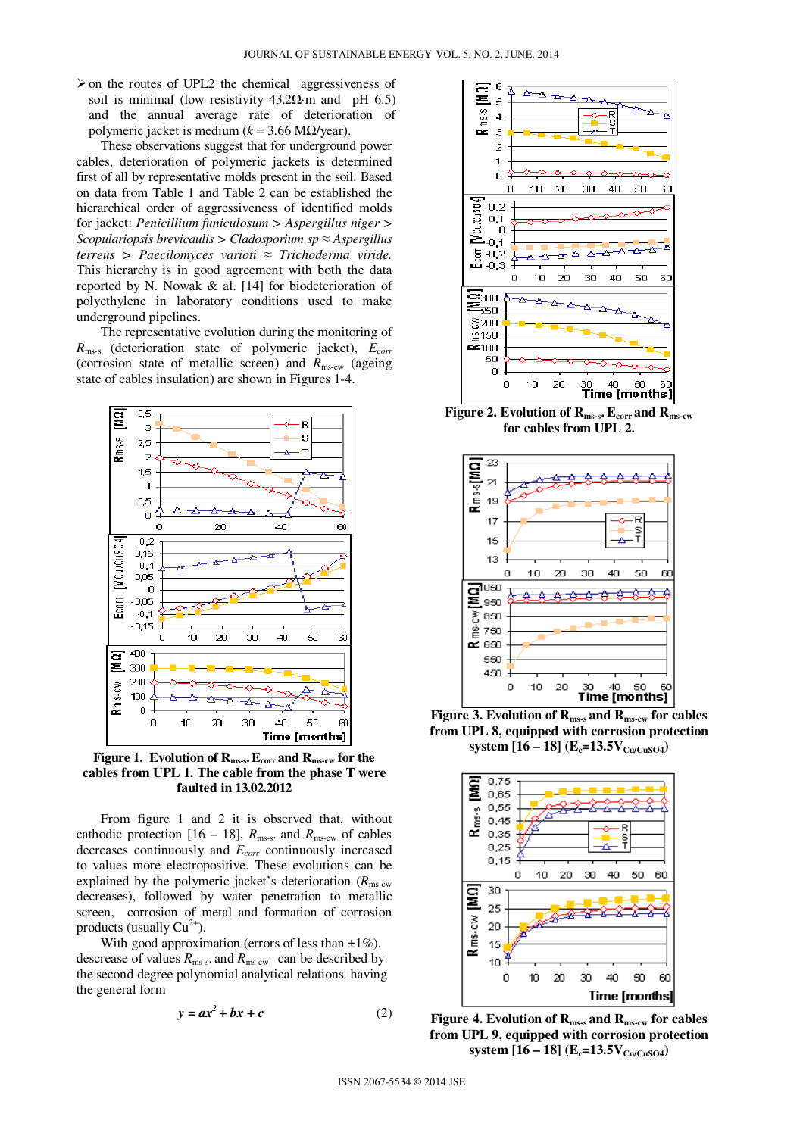$\triangleright$  on the routes of UPL2 the chemical aggressiveness of soil is minimal (low resistivity  $43.2\Omega$ ·m and pH 6.5) and the annual average rate of deterioration of polymeric jacket is medium (*k* = 3.66 MΩ/year).

These observations suggest that for underground power cables, deterioration of polymeric jackets is determined first of all by representative molds present in the soil. Based on data from Table 1 and Table 2 can be established the hierarchical order of aggressiveness of identified molds for jacket: *Penicillium funiculosum > Aspergillus niger > Scopulariopsis brevicaulis > Cladosporium sp* ≈ *Aspergillus terreus > Paecilomyces varioti* ≈ *Trichoderma viride.* This hierarchy is in good agreement with both the data reported by N. Nowak & al. [14] for biodeterioration of polyethylene in laboratory conditions used to make underground pipelines.

The representative evolution during the monitoring of *R*ms-s (deterioration state of polymeric jacket), *Ecorr* (corrosion state of metallic screen) and *R*ms-cw (ageing state of cables insulation) are shown in Figures 1-4.



**Figure 1. Evolution of Rms-s.Ecorr and Rms-cw for the cables from UPL 1. The cable from the phase T were faulted in 13.02.2012** 

From figure 1 and 2 it is observed that, without cathodic protection [16 – 18],  $R_{\text{ms-s}}$  and  $R_{\text{ms-cw}}$  of cables decreases continuously and *Ecorr* continuously increased to values more electropositive. These evolutions can be explained by the polymeric jacket's deterioration  $(R_{\text{ms-cw}})$ decreases), followed by water penetration to metallic screen, corrosion of metal and formation of corrosion products (usually  $Cu^{2+}$ ).

With good approximation (errors of less than  $\pm 1\%$ ). descrease of values  $R_{\text{ms-s}}$  and  $R_{\text{ms-cw}}$  can be described by the second degree polynomial analytical relations. having the general form

$$
y = ax^2 + bx + c \tag{2}
$$



**Figure 2. Evolution of Rms-s. Ecorr and Rms-cw for cables from UPL 2.** 



**Figure 3. Evolution of Rms-s and Rms-cw for cables from UPL 8, equipped with corrosion protection system**  $[16 - 18]$  (**E**<sub>**c**</sub>=13.5V<sub>Cu/CuSO4</sub>)



**Figure 4. Evolution of Rms-s and Rms-cw for cables from UPL 9, equipped with corrosion protection system**  $[16 - 18]$   $(E_c = 13.5V_{Cu/CuSO4})$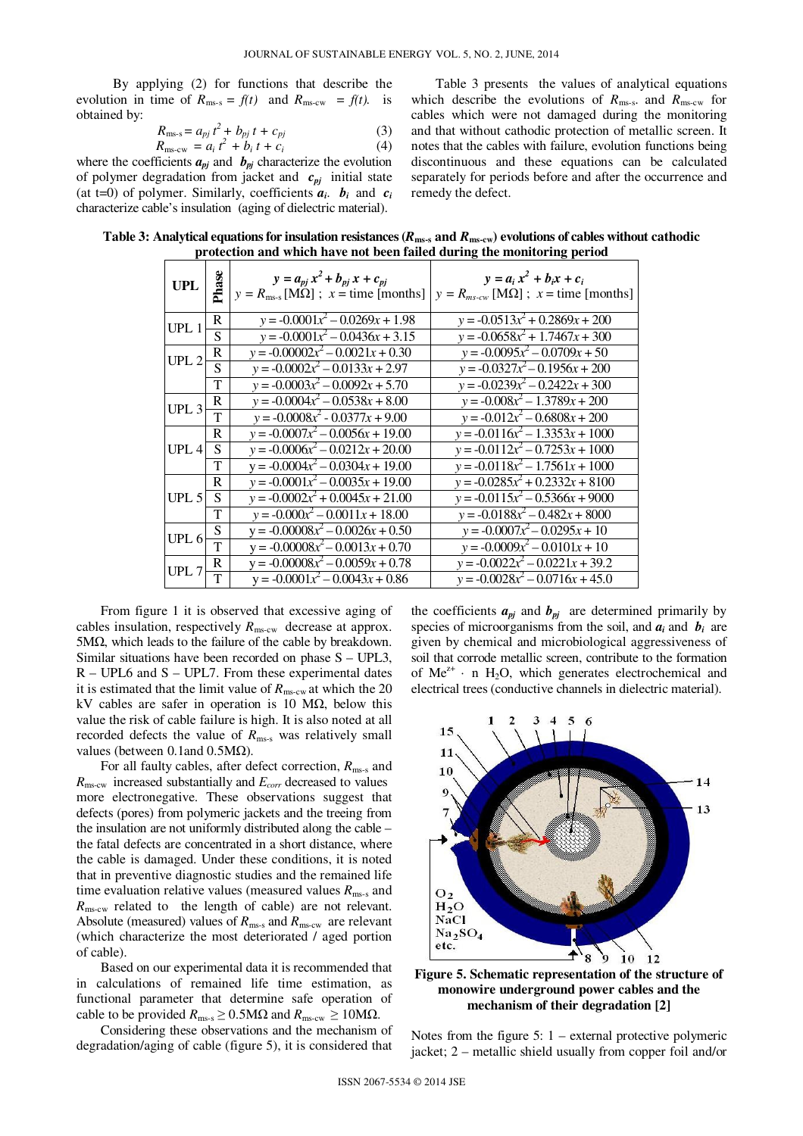By applying (2) for functions that describe the evolution in time of  $R_{\text{ms-s}} = f(t)$  and  $R_{\text{ms-cw}} = f(t)$ . is obtained by:

$$
R_{\text{ms-s}} = a_{pj} t^2 + b_{pj} t + c_{pj}
$$
  
\n
$$
R_{\text{ms-cw}} = a_i t^2 + b_i t + c_i
$$
\n(3)

where the coefficients  $a_{pj}$  and  $b_{pj}$  characterize the evolution of polymer degradation from jacket and *cpj* initial state (at t=0) of polymer. Similarly, coefficients  $a_i$ .  $b_i$  and  $c_i$ characterize cable's insulation (aging of dielectric material).

Table 3 presents the values of analytical equations which describe the evolutions of  $R_{\text{ms-s}}$  and  $R_{\text{ms-cw}}$  for cables which were not damaged during the monitoring and that without cathodic protection of metallic screen. It notes that the cables with failure, evolution functions being discontinuous and these equations can be calculated separately for periods before and after the occurrence and remedy the defect.

| <b>UPL</b>       | Phase | $y = a_{pj} x^2 + b_{pj} x + c_{pj}$<br>$y = R_{\text{ms-s}} [\text{M}\Omega]$ ; $x = \text{time}$ [months] | $y = a_i x^2 + b_i x + c_i$<br>$y = R_{ms-cw}$ [M $\Omega$ ]; $x =$ time [months] |
|------------------|-------|-------------------------------------------------------------------------------------------------------------|-----------------------------------------------------------------------------------|
| UPL <sub>1</sub> | R     | $y = -0.0001x^2 - 0.0269x + 1.98$                                                                           | $y = -0.0513x^{2} + 0.2869x + 200$                                                |
|                  | S     | $y = -0.0001x^2 - 0.0436x + 3.15$                                                                           | $y = -0.0658x^{2} + 1.7467x + 300$                                                |
| UPL2             | R     | $y = -0.00002x^2 - 0.0021x + 0.30$                                                                          | $y = -0.0095x^2 - 0.0709x + 50$                                                   |
|                  | S     | $y = -0.0002x^2 - 0.0133x + 2.97$                                                                           | $y = -0.0327x^{2} - 0.1956x + 200$                                                |
|                  | T     | $y = -0.0003x^2 - 0.0092x + 5.70$                                                                           | $y = -0.0239x^{2} - 0.2422x + 300$                                                |
| UPL <sub>3</sub> | R     | $y = -0.0004x^{2} - 0.0538x + 8.00$                                                                         | $y = -0.008x^2 - 1.3789x + 200$                                                   |
|                  | T     | $y = -0.0008x^2 - 0.0377x + 9.00$                                                                           | $y = -0.012x^2 - 0.6808x + 200$                                                   |
|                  | R     | $y = -0.0007x^2 - \overline{0.0056x + 19.00}$                                                               | $y = -0.0116x^2 - 1.3353x + 1000$                                                 |
| UPL <sub>4</sub> | S     | $y = -0.0006x^2 - 0.0212x + 20.00$                                                                          | $y = -0.0112x^2 - 0.7253x + 1000$                                                 |
|                  | T     | $y = -0.0004x^2 - 0.0304x + 19.00$                                                                          | $y = -0.0118x^{2} - 1.7561x + 1000$                                               |
| UPL $5$          | R     | $y = -0.0001x^2 - 0.0035x + 19.00$                                                                          | $y = -0.0285x^{2} + 0.2332x + 8100$                                               |
|                  | S     | $y = -0.0002x^2 + 0.0045x + 21.00$                                                                          | $y = -0.0115x^2 - 0.5366x + 9000$                                                 |
|                  | T     | $y = -0.000x^2 - 0.0011x + 18.00$                                                                           | $y = -0.0188x^2 - 0.482x + 8000$                                                  |
| UPL $6$          | S     | $y = -0.00008x^2 - 0.0026x + 0.50$                                                                          | $y = -0.0007x^2 - 0.0295x + 10$                                                   |
|                  | T     | $y = -0.00008x^2 - 0.0013x + 0.70$                                                                          | $y = -0.0009x^2 - 0.0101x + 10$                                                   |
| UPL $7$          | R     | $y = -0.00008x^2 - 0.0059x + 0.78$                                                                          | $y = -0.0022x^2 - 0.0221x + 39.2$                                                 |
|                  | T     | $y = -0.0001x^2 - 0.0043x + 0.86$                                                                           | $y = -0.0028x^{2} - 0.0716x + 45.0$                                               |

**Table 3: Analytical equations for insulation resistances (***R***ms-s and** *R***ms-cw) evolutions of cables without cathodic protection and which have not been failed during the monitoring period** 

From figure 1 it is observed that excessive aging of cables insulation, respectively  $R_{\text{ms-cw}}$  decrease at approx. 5MΩ, which leads to the failure of the cable by breakdown. Similar situations have been recorded on phase S – UPL3, R – UPL6 and S – UPL7. From these experimental dates it is estimated that the limit value of  $R_{\rm mes, cw}$  at which the 20 kV cables are safer in operation is 10 M $\Omega$ , below this value the risk of cable failure is high. It is also noted at all recorded defects the value of  $R_{\text{ms-s}}$  was relatively small values (between 0.1and 0.5MΩ).

For all faulty cables, after defect correction, *R*ms-s and *R*ms-cw increased substantially and *Ecorr* decreased to values more electronegative. These observations suggest that defects (pores) from polymeric jackets and the treeing from the insulation are not uniformly distributed along the cable – the fatal defects are concentrated in a short distance, where the cable is damaged. Under these conditions, it is noted that in preventive diagnostic studies and the remained life time evaluation relative values (measured values  $R_{\text{ms-s}}$  and *R*ms-cw related to the length of cable) are not relevant. Absolute (measured) values of  $R_{\text{ms-s}}$  and  $R_{\text{ms-cw}}$  are relevant (which characterize the most deteriorated / aged portion of cable).

Based on our experimental data it is recommended that in calculations of remained life time estimation, as functional parameter that determine safe operation of cable to be provided  $R_{\text{ms-s}} \geq 0.5 \text{M}\Omega$  and  $R_{\text{ms-cw}} \geq 10 \text{M}\Omega$ .

Considering these observations and the mechanism of degradation/aging of cable (figure 5), it is considered that

the coefficients  $a_{pj}$  and  $b_{pj}$  are determined primarily by species of microorganisms from the soil, and  $a_i$  and  $b_i$  are given by chemical and microbiological aggressiveness of soil that corrode metallic screen, contribute to the formation of  $Me^{z+}$  · n H<sub>2</sub>O, which generates electrochemical and electrical trees (conductive channels in dielectric material).



**Figure 5. Schematic representation of the structure of monowire underground power cables and the mechanism of their degradation [2]**

Notes from the figure  $5: 1$  – external protective polymeric jacket; 2 – metallic shield usually from copper foil and/or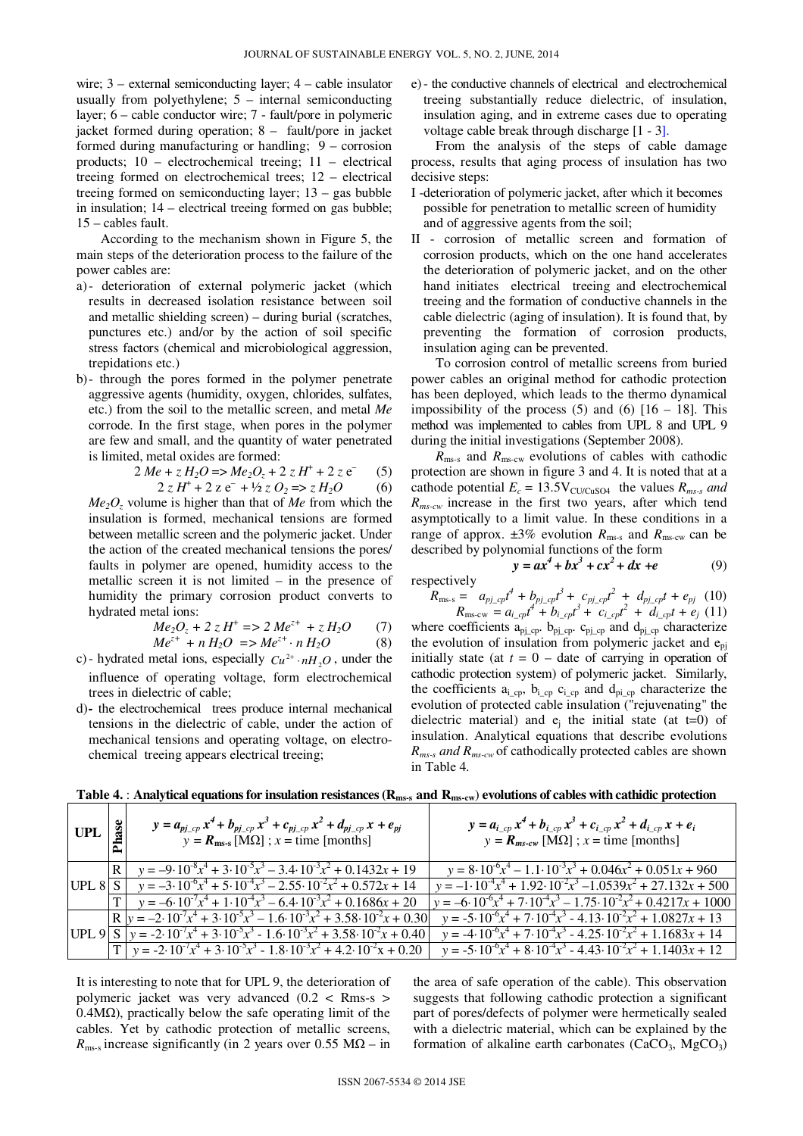wire; 3 – external semiconducting layer; 4 – cable insulator usually from polyethylene; 5 – internal semiconducting layer; 6 – cable conductor wire; 7 - fault/pore in polymeric jacket formed during operation; 8 – fault/pore in jacket formed during manufacturing or handling; 9 – corrosion products; 10 – electrochemical treeing; 11 – electrical treeing formed on electrochemical trees; 12 – electrical treeing formed on semiconducting layer; 13 – gas bubble in insulation; 14 – electrical treeing formed on gas bubble; 15 – cables fault.

According to the mechanism shown in Figure 5, the main steps of the deterioration process to the failure of the power cables are:

- a)- deterioration of external polymeric jacket (which results in decreased isolation resistance between soil and metallic shielding screen) – during burial (scratches, punctures etc.) and/or by the action of soil specific stress factors (chemical and microbiological aggression, trepidations etc.)
- b)- through the pores formed in the polymer penetrate aggressive agents (humidity, oxygen, chlorides, sulfates, etc.) from the soil to the metallic screen, and metal *Me* corrode. In the first stage, when pores in the polymer are few and small, and the quantity of water penetrated is limited, metal oxides are formed:

$$
2 Me + z H_2O \Rightarrow Me_2O_z + 2 z H^+ + 2 z e^-
$$
 (5)  
 
$$
2 z H^+ + 2 z e^- + \frac{1}{2} z O_2 \Rightarrow z H_2O
$$
 (6)

*Me2O<sup>z</sup>* volume is higher than that of *Me* from which the insulation is formed, mechanical tensions are formed between metallic screen and the polymeric jacket. Under the action of the created mechanical tensions the pores/ faults in polymer are opened, humidity access to the metallic screen it is not limited – in the presence of humidity the primary corrosion product converts to hydrated metal ions:

$$
Me_2O_z + 2 z H^+ \Rightarrow 2 Me^{z+} + z H_2O \qquad (7)
$$

$$
Me^{z+} + n H_2O \implies Me^{z+} \cdot n H_2O \tag{8}
$$
  
c)- hydrated metal ions, especially  $Cu^{2+} \cdot n H_2O$ , under the

influence of operating voltage, form electrochemical trees in dielectric of cable;

d)*-* the electrochemical trees produce internal mechanical tensions in the dielectric of cable, under the action of mechanical tensions and operating voltage, on electrochemical treeing appears electrical treeing;

e)- the conductive channels of electrical and electrochemical treeing substantially reduce dielectric, of insulation, insulation aging, and in extreme cases due to operating voltage cable break through discharge [1 - 3].

From the analysis of the steps of cable damage process, results that aging process of insulation has two decisive steps:

- I -deterioration of polymeric jacket, after which it becomes possible for penetration to metallic screen of humidity and of aggressive agents from the soil;
- II corrosion of metallic screen and formation of corrosion products, which on the one hand accelerates the deterioration of polymeric jacket, and on the other hand initiates electrical treeing and electrochemical treeing and the formation of conductive channels in the cable dielectric (aging of insulation). It is found that, by preventing the formation of corrosion products, insulation aging can be prevented.

To corrosion control of metallic screens from buried power cables an original method for cathodic protection has been deployed, which leads to the thermo dynamical impossibility of the process  $(5)$  and  $(6)$   $[16 - 18]$ . This method was implemented to cables from UPL 8 and UPL 9 during the initial investigations (September 2008).

 $R_{\text{ms-s}}$  and  $R_{\text{ms-cw}}$  evolutions of cables with cathodic protection are shown in figure 3 and 4. It is noted that at a cathode potential  $E_c = 13.5 \text{V}_{\text{CU/CuSO4}}$  the values  $R_{\text{ms-s}}$  and *Rms-cw* increase in the first two years, after which tend asymptotically to a limit value. In these conditions in a range of approx.  $\pm 3\%$  evolution  $R_{\text{ms-s}}$  and  $R_{\text{ms-cw}}$  can be described by polynomial functions of the form

 $y = ax^4 + bx^3 + cx^2 + dx + e$  (9)

$$
respectively\\
$$

$$
R_{\rm ms-s} = a_{pj-cp}t^4 + b_{pj-cp}t^3 + c_{pj-cp}t^2 + d_{pj-cp}t + e_{pj}
$$
 (10)  

$$
R_{\rm ms-cw} = a_{i-cp}t^4 + b_{i-cp}t^3 + c_{i-cp}t^2 + d_{i-cp}t + e_j
$$
 (11)

where coefficients  $a_{pj_ccp}$ .  $b_{pj_ccp}$ .  $c_{pj_ccp}$  and  $d_{pj_ccp}$  characterize the evolution of insulation from polymeric jacket and  $e_{\text{ni}}$ initially state (at  $t = 0$  – date of carrying in operation of cathodic protection system) of polymeric jacket. Similarly, the coefficients  $a_{i\_cp}$ ,  $b_{i\_cp}$   $c_{i\_cp}$  and  $d_{pi\_cp}$  characterize the evolution of protected cable insulation ("rejuvenating" the dielectric material) and  $e_i$  the initial state (at t=0) of insulation. Analytical equations that describe evolutions *Rms-s and Rms-cw* of cathodically protected cables are shown in Table 4.

| UPL | Ř | $y = a_{pj_{-}cp} x^4 + b_{pj_{-}cp} x^3 + c_{pj_{-}cp} x^2 + d_{pj_{-}cp} x + e_{pj}$<br>$y = R_{\text{ms-s}} [\text{M}\Omega]$ ; $x = \text{time}$ [months] | $y = a_{i_{c}p} x^4 + b_{i_{c}p} x^3 + c_{i_{c}p} x^2 + d_{i_{c}p} x + e_i$<br>$y = R_{ms-cw}$ [M $\Omega$ ]; $x =$ time [months] |
|-----|---|---------------------------------------------------------------------------------------------------------------------------------------------------------------|-----------------------------------------------------------------------------------------------------------------------------------|
|     |   | $R \mid y = -9.10^{-8}x^4 + 3.10^{-5}x^3 - 3.4.10^{-3}x^2 + 0.1432x + 19$                                                                                     | $y = 8.10^{-6}x^4 - 1.1.10^{-3}x^3 + 0.046x^2 + 0.051x + 960$                                                                     |
|     |   | UPL 8 $S \mid y = -3.10^{6}x^{4} + 5.10^{4}x^{3} - 2.55 \cdot 10^{2}x^{2} + 0.572x + 14$                                                                      | $y = -1.10^{4}x^{4} + 1.92.10^{2}x^{3} - 1.0539x^{2} + 27.132x + 500$                                                             |
|     |   | $T_{\rm{V}}$ $v = -6.10^{7}x^{4} + 1.10^{4}x^{3} - 6.4.10^{3}x^{2} + 0.1686x + 20$                                                                            | $v = -6.10^{-6}x^{4} + 7.10^{-4}x^{3} - 1.75.10^{-2}x^{2} + 0.4217x + 1000$                                                       |
|     |   | $\left[\mathbf{R}\right]y = -2.10^{7}x^{4} + 3.10^{5}x^{3} - 1.6.10^{3}x^{2} + 3.58.10^{2}x + 0.30\right]$                                                    | $y = -5.10^{-6}x^{4} + 7.10^{-4}x^{3} - 4.13.10^{-2}x^{2} + 1.0827x + 13$                                                         |
|     |   | UPL 9 $S$ $y = -2.10^{7}x^{4} + 3.10^{5}x^{3} - 1.6.10^{3}x^{2} + 3.58.10^{2}x + 0.40$                                                                        | $y = -4.10^{-6}x^{4} + 7.10^{-4}x^{3} - 4.25 \cdot 10^{-2}x^{2} + 1.1683x + 14$                                                   |
|     |   | $T_{\perp}$ $y = -2.10^{-7}x^4 + 3.10^{-5}x^3 - 1.8.10^{-3}x^2 + 4.2.10^{-2}x + 0.20$                                                                         | $y = -5.10^{-6}x^4 + 8.10^{-4}x^3 - 4.43.10^{-2}x^2 + 1.1403x + 12$                                                               |

**Table 4.** : **Analytical equations for insulation resistances (Rms-s and Rms-cw**) **evolutions of cables with cathidic protection** 

It is interesting to note that for UPL 9, the deterioration of polymeric jacket was very advanced (0.2 < Rms-s > 0.4MΩ), practically below the safe operating limit of the cables. Yet by cathodic protection of metallic screens,  $R_{\text{ms-s}}$  increase significantly (in 2 years over 0.55 M $\Omega$  – in the area of safe operation of the cable). This observation suggests that following cathodic protection a significant part of pores/defects of polymer were hermetically sealed with a dielectric material, which can be explained by the formation of alkaline earth carbonates  $(CaCO<sub>3</sub>, MgCO<sub>3</sub>)$